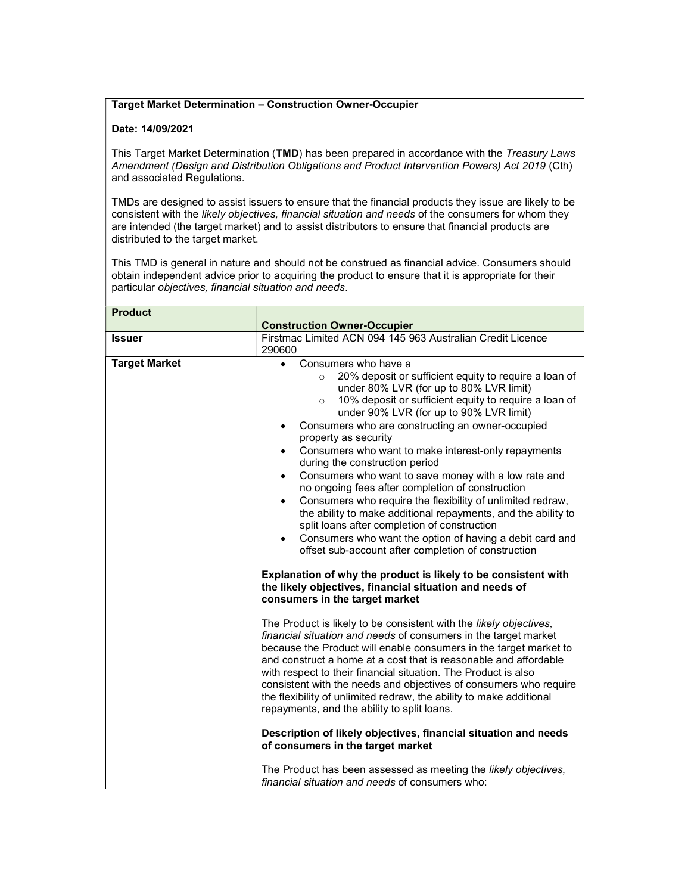## Target Market Determination – Construction Owner-Occupier

## Date: 14/09/2021

This Target Market Determination (TMD) has been prepared in accordance with the Treasury Laws Amendment (Design and Distribution Obligations and Product Intervention Powers) Act 2019 (Cth) and associated Regulations.

TMDs are designed to assist issuers to ensure that the financial products they issue are likely to be consistent with the likely objectives, financial situation and needs of the consumers for whom they are intended (the target market) and to assist distributors to ensure that financial products are distributed to the target market.

This TMD is general in nature and should not be construed as financial advice. Consumers should obtain independent advice prior to acquiring the product to ensure that it is appropriate for their particular objectives, financial situation and needs.

| <b>Product</b>       |                                                                                                                                                                                                                                                                                                                                                                                                                                                                                                                                                                                                                                                                                                                                                                                                                                                                                                                                                             |
|----------------------|-------------------------------------------------------------------------------------------------------------------------------------------------------------------------------------------------------------------------------------------------------------------------------------------------------------------------------------------------------------------------------------------------------------------------------------------------------------------------------------------------------------------------------------------------------------------------------------------------------------------------------------------------------------------------------------------------------------------------------------------------------------------------------------------------------------------------------------------------------------------------------------------------------------------------------------------------------------|
|                      | <b>Construction Owner-Occupier</b>                                                                                                                                                                                                                                                                                                                                                                                                                                                                                                                                                                                                                                                                                                                                                                                                                                                                                                                          |
| <b>Issuer</b>        | Firstmac Limited ACN 094 145 963 Australian Credit Licence<br>290600                                                                                                                                                                                                                                                                                                                                                                                                                                                                                                                                                                                                                                                                                                                                                                                                                                                                                        |
| <b>Target Market</b> | Consumers who have a<br>20% deposit or sufficient equity to require a loan of<br>$\circ$<br>under 80% LVR (for up to 80% LVR limit)<br>10% deposit or sufficient equity to require a loan of<br>$\circ$<br>under 90% LVR (for up to 90% LVR limit)<br>Consumers who are constructing an owner-occupied<br>$\bullet$<br>property as security<br>Consumers who want to make interest-only repayments<br>$\bullet$<br>during the construction period<br>Consumers who want to save money with a low rate and<br>$\bullet$<br>no ongoing fees after completion of construction<br>Consumers who require the flexibility of unlimited redraw,<br>$\bullet$<br>the ability to make additional repayments, and the ability to<br>split loans after completion of construction<br>Consumers who want the option of having a debit card and<br>offset sub-account after completion of construction<br>Explanation of why the product is likely to be consistent with |
|                      | the likely objectives, financial situation and needs of<br>consumers in the target market                                                                                                                                                                                                                                                                                                                                                                                                                                                                                                                                                                                                                                                                                                                                                                                                                                                                   |
|                      | The Product is likely to be consistent with the likely objectives,<br>financial situation and needs of consumers in the target market<br>because the Product will enable consumers in the target market to<br>and construct a home at a cost that is reasonable and affordable<br>with respect to their financial situation. The Product is also<br>consistent with the needs and objectives of consumers who require<br>the flexibility of unlimited redraw, the ability to make additional<br>repayments, and the ability to split loans.                                                                                                                                                                                                                                                                                                                                                                                                                 |
|                      | Description of likely objectives, financial situation and needs<br>of consumers in the target market                                                                                                                                                                                                                                                                                                                                                                                                                                                                                                                                                                                                                                                                                                                                                                                                                                                        |
|                      | The Product has been assessed as meeting the likely objectives,<br>financial situation and needs of consumers who:                                                                                                                                                                                                                                                                                                                                                                                                                                                                                                                                                                                                                                                                                                                                                                                                                                          |